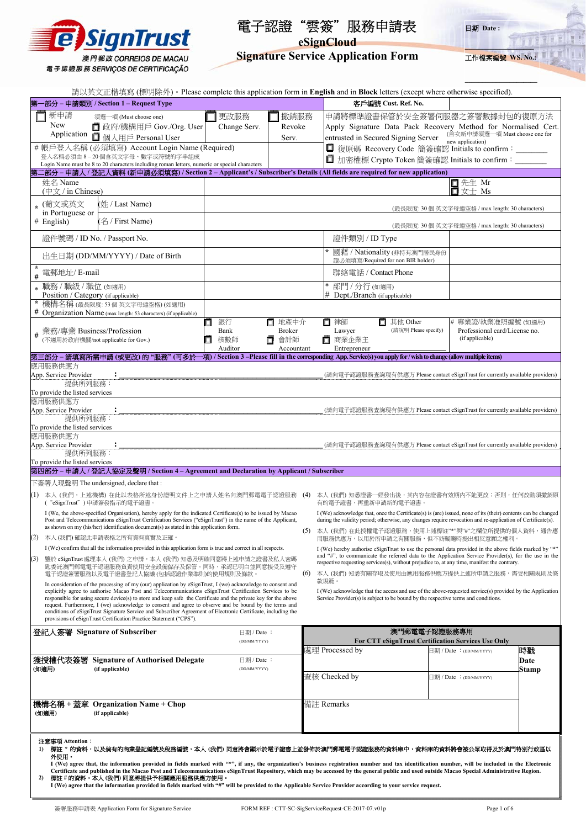

# 電子認證"雲簽"服務申請表 **eSignCloud**



**Signature Service Application Form** 

**\_\_\_\_\_\_\_\_\_\_\_\_\_\_\_\_\_\_\_\_\_**

| 請以英文正楷填寫 (標明除外)。Please complete this application form in English and in Block letters (except where otherwise specified).                                                                                                   |                            |                           |                                                                                                                                                                                                                              |                                                                                                                                               |                                                                    |                                                                                    |               |  |
|-----------------------------------------------------------------------------------------------------------------------------------------------------------------------------------------------------------------------------|----------------------------|---------------------------|------------------------------------------------------------------------------------------------------------------------------------------------------------------------------------------------------------------------------|-----------------------------------------------------------------------------------------------------------------------------------------------|--------------------------------------------------------------------|------------------------------------------------------------------------------------|---------------|--|
| 第-<br>-部分 – 申請類別 / Section 1 – Request Type                                                                                                                                                                                 |                            |                           |                                                                                                                                                                                                                              |                                                                                                                                               | 客戶編號 Cust. Ref. No.                                                |                                                                                    |               |  |
| 新申請<br>須選一項 (Must choose one)                                                                                                                                                                                               | 更改服務                       | 撤銷服務                      |                                                                                                                                                                                                                              |                                                                                                                                               |                                                                    | 申請將標準證書保管於安全簽署伺服器之簽署數據封包的復原方法                                                      |               |  |
| New<br>□ 政府/機構用戶 Gov./Org. User                                                                                                                                                                                             | Change Serv.               | Revoke                    |                                                                                                                                                                                                                              |                                                                                                                                               |                                                                    | Apply Signature Data Pack Recovery Method for Normalised Cert.                     |               |  |
| Application<br>О<br>個人用戶 Personal User                                                                                                                                                                                      |                            | Serv.                     |                                                                                                                                                                                                                              | entrusted in Secured Signing Server                                                                                                           |                                                                    | (首次新申請須選一項 Must choose one for<br>new application)                                 |               |  |
| #帳戶登入名稱 (必須填寫) Account Login Name (Required)                                                                                                                                                                                |                            |                           |                                                                                                                                                                                                                              |                                                                                                                                               |                                                                    | □ 復原碼 Recovery Code 簡簽確認 Initials to confirm:                                      |               |  |
| 登入名稱必須由 8-20個含英文字母、數字或符號的字串組成<br>Login Name must be 8 to 20 characters including roman letters, numeric or special characters                                                                                               |                            |                           |                                                                                                                                                                                                                              |                                                                                                                                               |                                                                    | □ 加密權標 Crypto Token 簡簽確認 Initials to confirm:                                      |               |  |
| 第二部分 – 申請人 / 登記人資料 (新申請必須填寫) / Section 2 – Applicant's / Subscriber's Details (All fields are required for new application)                                                                                                 |                            |                           |                                                                                                                                                                                                                              |                                                                                                                                               |                                                                    |                                                                                    |               |  |
| 姓名 Name<br>(中文 / in Chinese)                                                                                                                                                                                                |                            |                           |                                                                                                                                                                                                                              |                                                                                                                                               |                                                                    | 先生 Mr<br>女士 Ms                                                                     |               |  |
| * (葡文或英文<br>(姓 / Last Name)                                                                                                                                                                                                 |                            |                           |                                                                                                                                                                                                                              |                                                                                                                                               |                                                                    | (最長限度: 30個 英文字母連空格 / max length: 30 characters)                                    |               |  |
| in Portuguese or<br>(名 / First Name)<br>$#$ English)                                                                                                                                                                        |                            |                           |                                                                                                                                                                                                                              |                                                                                                                                               |                                                                    | (最長限度: 30個 英文字母連空格 / max length: 30 characters)                                    |               |  |
| 證件號碼 / ID No. / Passport No.                                                                                                                                                                                                |                            |                           |                                                                                                                                                                                                                              | 證件類別 / ID Type                                                                                                                                |                                                                    |                                                                                    |               |  |
| 出生日期 (DD/MM/YYYY) / Date of Birth                                                                                                                                                                                           |                            |                           |                                                                                                                                                                                                                              | 證必須填寫/Required for non BIR holder)                                                                                                            | 國藉 / Nationality (非持有澳門居民身份                                        |                                                                                    |               |  |
| # 電郵地址/ E-mail                                                                                                                                                                                                              |                            |                           |                                                                                                                                                                                                                              | 聯絡電話 / Contact Phone                                                                                                                          |                                                                    |                                                                                    |               |  |
| 職務 / 職級 / 職位 (如適用)<br>$\ast$<br>Position / Category (if applicable)                                                                                                                                                         |                            |                           |                                                                                                                                                                                                                              | 部門 / 分行(如適用)<br>Dept./Branch (if applicable)                                                                                                  |                                                                    |                                                                                    |               |  |
| $\star$<br>機構名稱(最長限度:53個英文字母連空格)(如適用)<br># Organization Name (max length: 53 characters) (if applicable)                                                                                                                    |                            |                           |                                                                                                                                                                                                                              |                                                                                                                                               |                                                                    |                                                                                    |               |  |
|                                                                                                                                                                                                                             | 銀行                         | 地產中介<br>□                 |                                                                                                                                                                                                                              | 律師<br>ш                                                                                                                                       | □ 其他 Other                                                         | # 專業證/執業准照編號 (如適用)                                                                 |               |  |
| # 業務/專業 Business/Profession<br>(不適用於政府機關/not applicable for Gov.)                                                                                                                                                           | Bank<br>核數師                | <b>Broker</b><br>會計師<br>□ |                                                                                                                                                                                                                              | Lawyer<br>商業企業主<br>$\Box$                                                                                                                     | (請說明 Please specify)                                               | Professional card/License no.<br>(if applicable)                                   |               |  |
| 第三部分 – 請填寫所需申請 (或更改) 的 "服務" (可多於一項) / Section 3 –Please fill in the corresponding App. Service(s) you apply for / wish to change (allow multiple items)                                                                     | Auditor                    | Accountant                |                                                                                                                                                                                                                              | Entrepreneur                                                                                                                                  |                                                                    |                                                                                    |               |  |
| 應用服務供應方                                                                                                                                                                                                                     |                            |                           |                                                                                                                                                                                                                              |                                                                                                                                               |                                                                    |                                                                                    |               |  |
| App. Service Provider<br>$\ddot{\cdot}$<br>提供所列服務:                                                                                                                                                                          |                            |                           |                                                                                                                                                                                                                              |                                                                                                                                               |                                                                    | (請向電子認證服務查詢現有供應方 Please contact eSignTrust for currently available providers)      |               |  |
| To provide the listed services<br>應用服務供應方                                                                                                                                                                                   |                            |                           |                                                                                                                                                                                                                              |                                                                                                                                               |                                                                    |                                                                                    |               |  |
| App. Service Provider                                                                                                                                                                                                       |                            |                           |                                                                                                                                                                                                                              |                                                                                                                                               |                                                                    | (請向電子認證服務查詢現有供應方 Please contact eSignTrust for currently available providers)      |               |  |
| 提供所列服務:<br>To provide the listed services                                                                                                                                                                                   |                            |                           |                                                                                                                                                                                                                              |                                                                                                                                               |                                                                    |                                                                                    |               |  |
| 應用服務供應方<br>App. Service Provider                                                                                                                                                                                            |                            |                           |                                                                                                                                                                                                                              |                                                                                                                                               |                                                                    | (請向電子認證服務查詢現有供應方 Please contact eSignTrust for currently available providers)      |               |  |
| 提供所列服務:                                                                                                                                                                                                                     |                            |                           |                                                                                                                                                                                                                              |                                                                                                                                               |                                                                    |                                                                                    |               |  |
| To provide the listed services<br>第四部分 – 申請人 / 登記人協定及聲明 / Section 4 – Agreement and Declaration by Applicant / Subscriber                                                                                                   |                            |                           |                                                                                                                                                                                                                              |                                                                                                                                               |                                                                    |                                                                                    |               |  |
| 下簽署人現聲明 The undersigned, declare that:                                                                                                                                                                                      |                            |                           |                                                                                                                                                                                                                              |                                                                                                                                               |                                                                    |                                                                                    |               |  |
| (1) 本人 (我們,上述機構) 在此以表格所述身份證明文件上之申請人姓名向澳門郵電電子認證服務<br>(4)<br>( "eSignTrust" ) 申請簽發指示的電子證書。                                                                                                                                    |                            |                           |                                                                                                                                                                                                                              |                                                                                                                                               | 本人 (我們) 知悉證書一經發出後,其內容在證書有效期內不能更改;否則,任何改動須撤銷原<br>有的電子證書,再重新申請新的電子證書 |                                                                                    |               |  |
| I (We, the above-specified Organisation), hereby apply for the indicated Certificate(s) to be issued by Macao<br>Post and Telecommunications eSignTrust Certification Services ("eSignTrust") in the name of the Applicant, |                            |                           | I (We) acknowledge that, once the Certificate(s) is (are) issued, none of its (their) contents can be changed<br>during the validity period; otherwise, any changes require revocation and re-application of Certificate(s). |                                                                                                                                               |                                                                    |                                                                                    |               |  |
| as shown on my (his/her) identification document(s) as stated in this application form.                                                                                                                                     |                            |                           | 本人 (我們) 在此授權電子認證服務,使用上述標註"*"與"#"之欄位所提供的個人資料,通告應                                                                                                                                                                              |                                                                                                                                               |                                                                    |                                                                                    |               |  |
| (2)<br>本人 (我們) 確認此申請表格之所有資料真實及正確<br>I (We) confirm that all the information provided in this application form is true and correct in all respects.                                                                          |                            |                           |                                                                                                                                                                                                                              | 用服務供應方,以用於所申請之有關服務,但不妨礙隨時提出相反意願之權利。<br>I (We) hereby authorise eSignTrust to use the personal data provided in the above fields marked by "*" |                                                                    |                                                                                    |               |  |
| 鑒於 eSignTrust處理本人 (我們) 之申請,本人 (我們) 知悉及明確同意將上述申請之證書及私人密碼<br>(3)                                                                                                                                                              |                            |                           | and "#", to communicate the referred data to the Application Service Provider(s), for the use in the<br>respective requesting services(s), without prejudice to, at any time, manifest the contrary.                         |                                                                                                                                               |                                                                    |                                                                                    |               |  |
| 匙委託澳門郵電電子認證服務負責使用安全設備儲存及保管。同時,承認已明白並同意接受及遵守<br>電子認證簽署服務以及電子證書登記人協議 (包括認證作業準則)的使用規則及條款。                                                                                                                                      |                            |                           | (6)<br>本人 (我們) 知悉有關存取及使用由應用服務供應方提供上述所申請之服務,需受相關規則及條<br>款規範。                                                                                                                                                                  |                                                                                                                                               |                                                                    |                                                                                    |               |  |
| In consideration of the processing of my (our) application by eSignTrust, I (we) acknowledge to consent and<br>explicitly agree to authorise Macao Post and Telecommunications eSignTrust Certification Services to be      |                            |                           |                                                                                                                                                                                                                              | I (We) acknowledge that the access and use of the above-requested service(s) provided by the Application                                      |                                                                    |                                                                                    |               |  |
| responsible for using secure device(s) to store and keep safe the Certificate and the private key for the above<br>request. Furthermore, I (we) acknowledge to consent and agree to observe and be bound by the terms and   |                            |                           |                                                                                                                                                                                                                              |                                                                                                                                               |                                                                    | Service Provider(s) is subject to be bound by the respective terms and conditions. |               |  |
| conditions of eSignTrust Signature Service and Subscriber Agreement of Electronic Certificate, including the<br>provisions of eSignTrust Certification Practice Statement ("CPS").                                          |                            |                           |                                                                                                                                                                                                                              |                                                                                                                                               |                                                                    |                                                                                    |               |  |
| 登記人簽署 Signature of Subscriber                                                                                                                                                                                               | 日期 / Date:                 |                           |                                                                                                                                                                                                                              |                                                                                                                                               | 澳門郵電電子認證服務專用                                                       |                                                                                    |               |  |
|                                                                                                                                                                                                                             | (DD/MM/YYYY)               |                           |                                                                                                                                                                                                                              |                                                                                                                                               |                                                                    | For CTT eSignTrust Certification Services Use Only                                 |               |  |
|                                                                                                                                                                                                                             |                            |                           |                                                                                                                                                                                                                              | 處理 Processed by                                                                                                                               |                                                                    | ∃期 / Date : (DD/MM/YYYY)                                                           | 時戳            |  |
| 獲授權代表簽署<br><b>Signature of Authorised Delegate</b><br>(如適用)<br>(if applicable)                                                                                                                                              | 日期 / Date:<br>(DD/MM/YYYY) |                           |                                                                                                                                                                                                                              |                                                                                                                                               |                                                                    |                                                                                    | Date<br>Stamp |  |
|                                                                                                                                                                                                                             |                            |                           |                                                                                                                                                                                                                              | 查核 Checked by                                                                                                                                 |                                                                    | 日期 / Date : (DD/MM/YYYY)                                                           |               |  |
|                                                                                                                                                                                                                             |                            |                           |                                                                                                                                                                                                                              |                                                                                                                                               |                                                                    |                                                                                    |               |  |
| 機構名稱 + 蓋章<br><b>Organization Name + Chop</b>                                                                                                                                                                                |                            |                           |                                                                                                                                                                                                                              | 備註 Remarks                                                                                                                                    |                                                                    |                                                                                    |               |  |
| (if applicable)<br>(如適用)                                                                                                                                                                                                    |                            |                           |                                                                                                                                                                                                                              |                                                                                                                                               |                                                                    |                                                                                    |               |  |
|                                                                                                                                                                                                                             |                            |                           |                                                                                                                                                                                                                              |                                                                                                                                               |                                                                    |                                                                                    |               |  |
| 注意事項 Attention:                                                                                                                                                                                                             |                            |                           |                                                                                                                                                                                                                              |                                                                                                                                               |                                                                    |                                                                                    |               |  |
| 1) 標註 * 的資料,以及倘有的商業登記編號及稅務編號,本人 (我們) 同意將會顧示於電子證書上並發佈於澳門郵電電子認證服務的資料庫中,資料庫的資料將會被公眾取得及於澳門特別行政區以                                                                                                                                |                            |                           |                                                                                                                                                                                                                              |                                                                                                                                               |                                                                    |                                                                                    |               |  |
| 外使用。<br>I (We) agree that, the information provided in fields marked with "*", if any, the organization's business registration number and tax identification number, will be included in the Electronic                    |                            |                           |                                                                                                                                                                                                                              |                                                                                                                                               |                                                                    |                                                                                    |               |  |
| Certificate and published in the Macao Post and Telecommunications eSignTrust Repository, which may be accessed by the general public and used outside Macao Special Administrative Region.                                 |                            |                           |                                                                                                                                                                                                                              |                                                                                                                                               |                                                                    |                                                                                    |               |  |
| 標註 # 的資料,本人 (我們) 同意將提供予相關應用服務供應方使用。<br>2)<br>I (We) agree that the information provided in fields marked with "#" will be provided to the Applicable Service Provider according to your service request.                    |                            |                           |                                                                                                                                                                                                                              |                                                                                                                                               |                                                                    |                                                                                    |               |  |
|                                                                                                                                                                                                                             |                            |                           |                                                                                                                                                                                                                              |                                                                                                                                               |                                                                    |                                                                                    |               |  |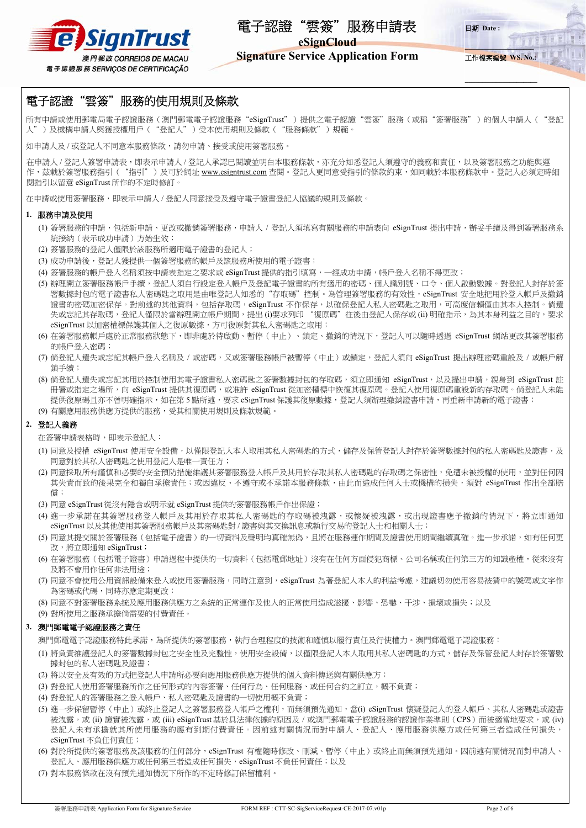



**\_\_\_\_\_\_\_\_\_\_\_\_\_\_\_\_\_\_\_\_**

日期 **Date :** 

# **Signature Service Application Form**

工作檔案編號 **WS. No.:**

**\_\_\_\_\_\_\_\_\_\_\_\_\_\_\_\_\_\_\_\_\_**

# 電子認證"雲簽"服務的使用規則及條款

所有申請或使用郵電局電子認證服務(澳門郵電電子認證服務"eSignTrust")提供之電子認證"雲簽"服務(或稱"簽署服務")的個人申請人("登記 人")及機構申請人與獲授權用戶("登記人")受本使用規則及條款("服務條款")規範。

如申請人及 / 或登記人不同意本服務條款, 請勿申請、接受或使用簽署服務。

在申請人 / 登記人簽署申請表,即表示申請人 / 登記人承認已閱讀並明白本服務條款,亦充分知悉登記人須遵守的義務和責任,以及簽署服務之功能與運 作,茲載於簽署服務指引("指引")及可於網址 www.esigntrust.com 查閱。登記人更同意受指引的條款約束,如同載於本服務條款中。登記人必須定時細 閱指引以留意 eSignTrust 所作的不定時修訂。

在申請或使用簽署服務,即表示申請人 / 登記人同意接受及遵守電子證書登記人協議的規則及條款。

## **1.** 服務申請及使用

- (1) 簽署服務的申請,包括新申請、更改或撤銷簽署服務,申請人 / 登記人須填寫有關服務的申請表向 eSignTrust 提出申請,辦妥手續及得到簽署服務系 統接納(表示成功申請)方始生效;
- (2) 簽署服務的登記人僅限於該服務所適用電子證書的登記人;
- (3) 成功申請後,登記人獲提供一個簽署服務的帳戶及該服務所使用的電子證書;
- (4) 簽署服務的帳戶登入名稱須按申請表指定之要求或 eSignTrust 提供的指引填寫,一經成功申請,帳戶登入名稱不得更改;
- (5) 辦理開立簽署服務帳戶手續,登記人須自行設定登入帳戶及登記電子證書的所有適用的密碼、個人識別號、口令、個人啟動數據。對登記人封存於簽 署數據封包的電子證書私人密碼匙之取用是由唯登記人知悉的"存取碼"控制。為管理簽署服務的有效性,eSignTrust 安全地把用於登入帳戶及撤銷 證書的密碼加密保存。對前述的其他資料,包括存取碼,eSignTrust 不作保存,以確保登記人私人密碼匙之取用,可高度信賴僅由其本人控制。倘遺 失或忘記其存取碼,登記人僅限於當辦理開立帳戶期間,提出 (i)要求列印 "復原碼"往後由登記人保存或 (ii) 明確指示,為其本身利益之目的,要求 eSignTrust 以加密權標保護其個人之復原數據,方可復原對其私人密碼匙之取用;
- (6) 在簽署服務帳戶處於正常服務狀態下,即非處於待啟動、暫停(中止)、鎖定、撤銷的情況下,登記人可以隨時透過 eSignTrust 網站更改其簽署服務 的帳戶登入密碼;
- (7) 倘登記人遺失或忘記其帳戶登入名稱及 / 或密碼,又或簽署服務帳戶被暫停 (中止) 或鎖定,登記人須向 eSignTrust 提出辦理密碼重設及 / 或帳戶解 鎖手續;
- (8) 倘登記人遺失或忘記其用於控制使用其電子證書私人密碼匙之簽署數據封包的存取碼,須立即通知 eSignTrust,以及提出申請,親身到 eSignTrust 註 冊署或指定之場所,向 eSignTrust 提供其復原碼,或准許 eSignTrust 從加密權標中恢復其復原碼。登記人使用復原碼重設新的存取碼。倘登記人未能 提供復原碼且亦不曾明確指示,如在第5點所述,要求 eSignTrust 保護其復原數據,登記人須辦理撤銷證書申請,再重新申請新的電子證書; (9) 有關應用服務供應方提供的服務,受其相關使用規則及條款規範。

## **2.** 登記人義務

在簽署申請表格時,即表示登記人:

- (1) 同意及授權 eSignTrust 使用安全設備,以僅限登記人本人取用其私人密碼匙的方式,儲存及保管登記人封存於簽署數據封包的私人密碼匙及證書,及 同意對於其私人密碼匙之使用登記人是唯一責任方;
- (2) 同意採取所有謹慎和必要的安全預防措施維護其簽署服務登入帳戶及其用於存取基私人密碼匙的存取碼之保密性, 免遭未被授權的使用, 並對任何因 其失責而致的後果完全和獨自承擔責任;或因違反、不遵守或不承諾本服務條款,由此而造成任何人士或機構的損失,須對 eSignTrust 作出全部賠 償;
- (3) 同意 eSignTrust 從沒有隱含或明示就 eSignTrust 提供的簽署服務帳戶作出保證;
- (4) 進一步承諾在其簽署服務登入帳戶及其用於存取其私人密碼匙的存取碼被洩露,或懷疑被洩露,或出現證書應予撤銷的情況下,將立即通知 eSignTrust 以及其他使用其簽署服務帳戶及其密碼匙對 / 證書與其交換訊息或執行交易的登記人士和相關人士;
- (5) 同意其提交關於簽署服務(包括電子證書)的一切資料及聲明均真確無偽,且將在服務運作期間及證書使用期間繼續真確。進一步承諾,如有任何更 改,將立即通知 eSignTrust;
- (6) 在簽署服務(包括電子證書)申請過程中提供的一切資料(包括電郵地址)沒有在任何方面侵犯商標、公司名稱或任何第三方的知識產權,從來沒有 及將不會用作任何非法用途;
- (7) 同意不會使用公用資訊設備來登入或使用簽署服務,同時注意到,eSignTrust 為著登記人本人的利益考慮,建議切勿使用容易被猜中的號碼或文字作 為密碼或代碼,同時亦應定期更改;
- (8) 同意不對簽署服務系統及應用服務供應方之系統的正常運作及他人的正常使用造成滋擾、影響、恐嚇、干涉、損壞或損失;以及
- (9) 對所使用之服務承擔倘需要的付費責任。

## **3.** 澳門郵電電子認證服務之責任

澳門郵電電子認證服務特此承諾,為所提供的簽署服務,執行合理程度的技術和謹慎以履行責任及行使權力。澳門郵電電子認證服務:

- (1) 將負責維護登記人的簽署數據封包之安全性及完整性,使用安全設備,以僅限登記人本人取用其私人密碼匙的方式,儲存及保管登記人封存於簽署數 據封包的私人密碼匙及證書;
- (2) 將以安全及有效的方式把登記人申請所必要向應用服務供應方提供的個人資料傳送與有關供應方;
- (3) 對登記人使用簽署服務所作之任何形式的內容簽署、任何行為、任何服務、或任何合約之訂立,概不負責;
- (4) 對登記人的簽署服務之登入帳戶、私人密碼匙及證書的一切使用概不負責;
- (5) 進一步保留暫停(中止)或終止登記人之簽署服務登入帳戶之權利,而無須預先通知,當(i) eSignTrust 懷疑登記人的登入帳戶、其私人密碼匙或證書 被洩露,或 (ii) 證實被洩露,或 (iii) eSignTrust 基於具法律依據的原因及 / 或澳門郵電電子認證服務的認證作業準則(CPS) 而被適當地要求,或 (iv) 登記人未有承擔就其所使用服務的應有到期付費責任。因前述有關情況而對申請人、登記人、應用服務供應方或任何第三者造成任何損失, eSignTrust 不負任何責任;
- (6) 對於所提供的簽署服務及該服務的任何部分,eSignTrust 有權隨時修改、刪減、暫停(中止)或終止而無須預先通知。因前述有關情況而對申請人、 登記人、應用服務供應方或任何第三者造成任何損失,eSignTrust 不負任何責任;以及
- (7) 對本服務條款在沒有預先通知情況下所作的不定時修訂保留權利。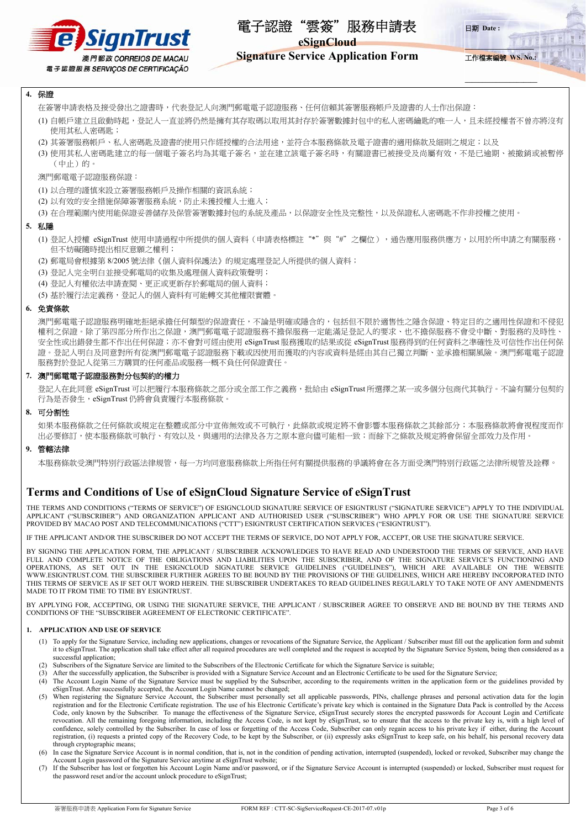

**eSignCloud** 

**Signature Service Application Form** 

**\_\_\_\_\_\_\_\_\_\_\_\_\_\_\_\_\_\_\_\_** 工作檔案編號 **WS. No.:**

**\_\_\_\_\_\_\_\_\_\_\_\_\_\_\_\_\_\_\_\_\_**

日期 **Date :** 

## **4.** 保證

- 在簽署申請表格及接受發出之證書時,代表登記人向澳門郵電電子認證服務、任何信賴其簽署服務帳戶及證書的人士作出保證:
- (1) 自帳戶建立且啟動時起,登記人一直並將仍然是擁有其存取碼以取用其封存於簽署數據封包中的私人密碼鑰匙的唯一人,且未經授權者不曾亦將沒有 使用其私人密碼匙;
- (2) 其簽署服務帳戶、私人密碼匙及證書的使用只作經授權的合法用途,並符合本服務條款及電子證書的適用條款及細則之規定;以及
- (3) 使用其私人密碼匙建立的每一個電子簽名均為其電子簽名,並在建立該電子簽名時,有關證書已被接受及尚屬有效,不是已逾期、被撤銷或被暫停 (中止)的。

澳門郵電電子認證服務保證:

- (1) 以合理的謹慎來設立簽署服務帳戶及操作相關的資訊系統;
- (2) 以有效的安全措施保障簽署服務系統,防止未獲授權人士進入;
- (3) 在合理範圍內使用能保證妥善儲存及保管簽署數據封包的系統及產品,以保證安全性及完整性,以及保證私人密碼匙不作非授權之使用。

#### **5.** 私隱

- (1) 登記人授權 eSignTrust 使用申請過程中所提供的個人資料(申請表格標註"\*"與"#"之欄位),通告應用服務供應方,以用於所申請之有關服務, 但不妨礙隨時提出相反意願之權利;
- (2) 郵電局會根據第 8/2005 號法律《個人資料保護法》的規定處理登記人所提供的個人資料;
- (3) 登記人完全明白並接受郵電局的收集及處理個人資料政策聲明;
- (4) 登記人有權依法申請查閱、更正或更新存於郵電局的個人資料;

(5) 基於履行法定義務,登記人的個人資料有可能轉交其他權限實體

#### **6.** 免責條款

澳門郵電電子認證服務明確地拒絕承擔任何類型的保證責任,不論是明確或隱含的,包括但不限於適售性之隱含保證、特定目的之適用性保證和不侵犯 權利之保證。除了第四部分所作出之保證,澳門郵電電子認證服務不擔保服務一定能滿足登記人的要求、也不擔保服務不會受中斷、對服務的及時性、 安全性或出錯發生都不作出任何保證;亦不會對可經由使用 eSignTrust 服務獲取的結果或從 eSignTrust 服務得到的任何資料之準確性及可信性作出任何保 證。登記人明白及同意對所有從澳門郵電電子認證服務下載或因使用而獲取的內容或資料是經由其自己獨立判斷、並承擔相關風險。澳門郵電電子認證 服務對於登記人從第三方購買的任何產品或服務一概不負任何保證責任。

#### **7.** 澳門郵電電子認證服務對分包契約的權力

登記人在此同意 eSignTrust 可以把履行本服務條款之部分或全部工作之義務,批給由 eSignTrust 所選擇之某一或多個分包商代其執行。不論有關分包契約 行為是否發生, eSignTrust 仍將會負責履行本服務條款。

#### **8.** 可分割性

如果本服務條款之任何條款或規定在整體或部分中宣佈無效或不可執行,此條款或規定將不會影響本服務條款之其餘部分;本服務條款將會視程度而作 出必要修訂,使本服務條款可執行、有效以及,與適用的法律及各方之原本意向儘可能相一致;而餘下之條款及規定將會保留全部效力及作用。

#### **9.** 管轄法律

本服務條款受澳門特別行政區法律規管,每一方均同意服務條款上所指任何有關提供服務的爭議將會在各方面受澳門特別行政區之法律所規管及詮釋。

# **Terms and Conditions of Use of eSignCloud Signature Service of eSignTrust**

THE TERMS AND CONDITIONS ("TERMS OF SERVICE") OF ESIGNCLOUD SIGNATURE SERVICE OF ESIGNTRUST ("SIGNATURE SERVICE") APPLY TO THE INDIVIDUAL APPLICANT ("SUBSCRIBER") AND ORGANIZATION APPLICANT AND AUTHORISED USER ("SUBSCRIBER") WHO APPLY FOR OR USE THE SIGNATURE SERVICE PROVIDED BY MACAO POST AND TELECOMMUNICATIONS ("CTT") ESIGNTRUST CERTIFICATION SERVICES ("ESIGNTRUST").

IF THE APPLICANT AND/OR THE SUBSCRIBER DO NOT ACCEPT THE TERMS OF SERVICE, DO NOT APPLY FOR, ACCEPT, OR USE THE SIGNATURE SERVICE.

BY SIGNING THE APPLICATION FORM, THE APPLICANT / SUBSCRIBER ACKNOWLEDGES TO HAVE READ AND UNDERSTOOD THE TERMS OF SERVICE, AND HAVE FULL AND COMPLETE NOTICE OF THE OBLIGATIONS AND LIABILITIES UPON THE SUBSCRIBER, AND OF THE SIGNATURE SERVICE'S FUNCTIONING AND OPERATIONS, AS SET OUT IN THE ESIGNCLOUD SIGNATURE SERVICE GUIDELINES ("GUIDELINES"), WHICH ARE AVAILABLE ON THE WEBSITE WWW.ESIGNTRUST.COM. THE SUBSCRIBER FURTHER AGREES TO BE BOUND BY THE PROVISIONS OF THE GUIDELINES, WHICH ARE HEREBY INCORPORATED INTO THIS TERMS OF SERVICE AS IF SET OUT WORD HEREIN. THE SUBSCRIBER UNDERTAKES TO READ GUIDELINES REGULARLY TO TAKE NOTE OF ANY AMENDMENTS MADE TO IT FROM TIME TO TIME BY ESIGNTRUST.

BY APPLYING FOR, ACCEPTING, OR USING THE SIGNATURE SERVICE, THE APPLICANT / SUBSCRIBER AGREE TO OBSERVE AND BE BOUND BY THE TERMS AND CONDITIONS OF THE "SUBSCRIBER AGREEMENT OF ELECTRONIC CERTIFICATE".

#### **1. APPLICATION AND USE OF SERVICE**

- (1) To apply for the Signature Service, including new applications, changes or revocations of the Signature Service, the Applicant / Subscriber must fill out the application form and submit it to eSignTrust. The application shall take effect after all required procedures are well completed and the request is accepted by the Signature Service System, being then considered as a successful application:
- (2) Subscribers of the Signature Service are limited to the Subscribers of the Electronic Certificate for which the Signature Service is suitable;
- After the successfully application, the Subscriber is provided with a Signature Service Account and an Electronic Certificate to be used for the Signature Service;
- (4) The Account Login Name of the Signature Service must be supplied by the Subscriber, according to the requirements written in the application form or the guidelines provided by eSignTrust. After successfully accepted, the Account Login Name cannot be changed;
- (5) When registering the Signature Service Account, the Subscriber must personally set all applicable passwords, PINs, challenge phrases and personal activation data for the login registration and for the Electronic Certificate registration. The use of his Electronic Certificate's private key which is contained in the Signature Data Pack is controlled by the Access Code, only known by the Subscriber. To manage the effectiveness of the Signature Service, eSignTrust securely stores the encrypted passwords for Account Login and Certificate revocation. All the remaining foregoing information, including the Access Code, is not kept by eSignTrust, so to ensure that the access to the private key is, with a high level of confidence, solely controlled by the Subscriber. In case of loss or forgetting of the Access Code, Subscriber can only regain access to his private key if either, during the Account registration, (i) requests a printed copy of the Recovery Code, to be kept by the Subscriber, or (ii) expressly asks eSignTrust to keep safe, on his behalf, his personal recovery data through cryptographic means;
- (6) In case the Signature Service Account is in normal condition, that is, not in the condition of pending activation, interrupted (suspended), locked or revoked, Subscriber may change the Account Login password of the Signature Service anytime at eSignTrust website;
- (7) If the Subscriber has lost or forgotten his Account Login Name and/or password, or if the Signature Service Account is interrupted (suspended) or locked, Subscriber must request for the password reset and/or the account unlock procedure to eSignTrust;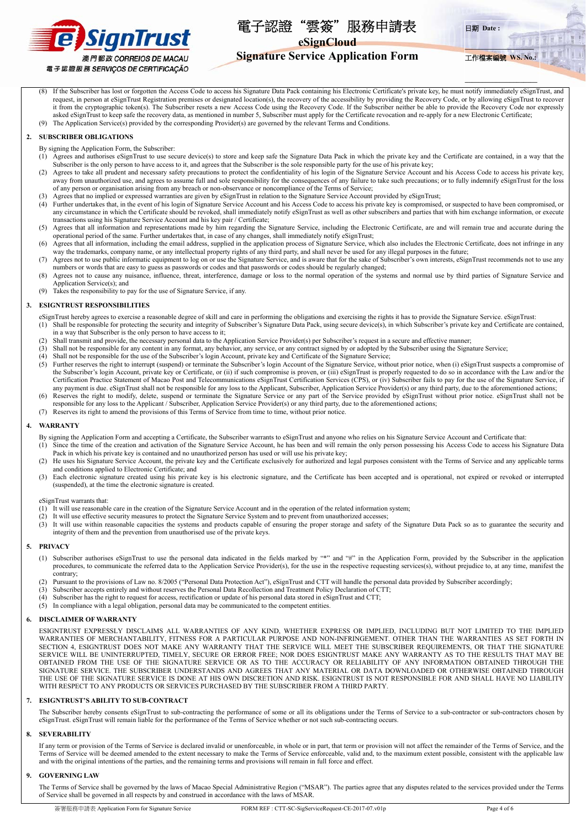



**eSignCloud** 

# **Signature Service Application Form**

**\_\_\_\_\_\_\_\_\_\_\_\_\_\_\_\_\_\_\_\_** 工作檔案編號 **WS. No.:**  $711$ 

**\_\_\_\_\_\_\_\_\_\_\_\_\_\_\_\_\_\_\_\_\_**

If the Subscriber has lost or forgotten the Access Code to access his Signature Data Pack containing his Electronic Certificate's private key, he must notify immediately eSignTrust, and request, in person at eSignTrust Registration premises or designated location(s), the recovery of the accessibility by providing the Recovery Code, or by allowing eSignTrust to recover it from the cryptographic token(s). The Subscriber resets a new Access Code using the Recovery Code. If the Subscriber neither be able to provide the Recovery Code nor expressly asked eSignTrust to keep safe the recovery data, as mentioned in number 5, Subscriber must apply for the Certificate revocation and re-apply for a new Electronic Certificate; (9) The Application Service(s) provided by the corresponding Provider(s) are governed by the relevant Terms and Conditions.

#### **2. SUBSCRIBER OBLIGATIONS**

- By signing the Application Form, the Subscriber:
- (1) Agrees and authorises eSignTrust to use secure device(s) to store and keep safe the Signature Data Pack in which the private key and the Certificate are contained, in a way that the Subscriber is the only person to have access to it, and agrees that the Subscriber is the sole responsible party for the use of his private key;
- (2) Agrees to take all prudent and necessary safety precautions to protect the confidentiality of his login of the Signature Service Account and his Access Code to access his private key, away from unauthorized use, and agrees to assume full and sole responsibility for the consequences of any failure to take such precautions; or to fully indemnify eSignTrust for the loss of any person or organisation arising from any breach or non-observance or noncompliance of the Terms of Service;
- (3) Agrees that no implied or expressed warranties are given by eSignTrust in relation to the Signature Service Account provided by eSignTrust;
- (4) Further undertakes that, in the event of his login of Signature Service Account and his Access Code to access his private key is compromised, or suspected to have been compromised, or any circumstance in which the Certificate should be revoked, shall immediately notify eSignTrust as well as other subscribers and parties that with him exchange information, or execute transactions using his Signature Service Account and his key pair / Certificate;
- (5) Agrees that all information and representations made by him regarding the Signature Service, including the Electronic Certificate, are and will remain true and accurate during the operational period of the same. Further undertakes that, in case of any changes, shall immediately notify eSignTrust;
- (6) Agrees that all information, including the email address, supplied in the application process of Signature Service, which also includes the Electronic Certificate, does not infringe in any way the trademarks, company name, or any intellectual property rights of any third party, and shall never be used for any illegal purposes in the future;
- (7) Agrees not to use public informatic equipment to log on or use the Signature Service, and is aware that for the sake of Subscriber's own interests, eSignTrust recommends not to use any numbers or words that are easy to guess as passwords or codes and that passwords or codes should be regularly changed;
- (8) Agrees not to cause any nuisance, influence, threat, interference, damage or loss to the normal operation of the systems and normal use by third parties of Signature Service and Application Service(s); and
- (9) Takes the responsibility to pay for the use of Signature Service, if any.

#### **3. ESIGNTRUST RESPONSIBILITIES**

eSignTrust hereby agrees to exercise a reasonable degree of skill and care in performing the obligations and exercising the rights it has to provide the Signature Service. eSignTrust: (1) Shall be responsible for protecting the security and integrity of Subscriber's Signature Data Pack, using secure device(s), in which Subscriber's private key and Certificate are contained,

- in a way that Subscriber is the only person to have access to it;
- (2) Shall transmit and provide, the necessary personal data to the Application Service Provider(s) per Subscriber's request in a secure and effective manner;
- (3) Shall not be responsible for any content in any format, any behavior, any service, or any contract signed by or adopted by the Subscriber using the Signature Service;
- (4) Shall not be responsible for the use of the Subscriber's login Account, private key and Certificate of the Signature Service;
- $(5)$  Further reserves the right to interrupt (suspend) or terminate the Subscriber's login Account of the Signature Service, without prior notice, when (i) eSignTrust suspects a compromise of  $(5)$ the Subscriber's login Account, private key or Certificate, or (ii) if such compromise is proven, or (iii) eSignTrust is properly requested to do so in accordance with the Law and/or the Certification Practice Statement of Macao Post and Telecommunications eSignTrust Certification Services (CPS), or (iv) Subscriber fails to pay for the use of the Signature Service, if any payment is due. eSignTrust shall not be responsible for any loss to the Applicant, Subscriber, Application Service Provider(s) or any third party, due to the aforementioned actions;
- (6) Reserves the right to modify, delete, suspend or terminate the Signature Service or any part of the Service provided by eSignTrust without prior notice. eSignTrust shall not be responsible for any loss to the Applicant / Subscriber, Application Service Provider(s) or any third party, due to the aforementioned actions;
- (7) Reserves its right to amend the provisions of this Terms of Service from time to time, without prior notice.

#### **4. WARRANTY**

- By signing the Application Form and accepting a Certificate, the Subscriber warrants to eSignTrust and anyone who relies on his Signature Service Account and Certificate that:
- (1) Since the time of the creation and activation of the Signature Service Account, he has been and will remain the only person possessing his Access Code to access his Signature Data Pack in which his private key is contained and no unauthorized person has used or will use his private key;
- (2) He uses his Signature Service Account, the private key and the Certificate exclusively for authorized and legal purposes consistent with the Terms of Service and any applicable terms and conditions applied to Electronic Certificate; and
- (3) Each electronic signature created using his private key is his electronic signature, and the Certificate has been accepted and is operational, not expired or revoked or interrupted (suspended), at the time the electronic signature is created.

#### eSignTrust warrants that:

- (1) It will use reasonable care in the creation of the Signature Service Account and in the operation of the related information system;
- (2) It will use effective security measures to protect the Signature Service System and to prevent from unauthorized accesses;
- (3) It will use within reasonable capacities the systems and products capable of ensuring the proper storage and safety of the Signature Data Pack so as to guarantee the security and integrity of them and the prevention from unauthorised use of the private keys.

#### **5. PRIVACY**

- (1) Subscriber authorises eSignTrust to use the personal data indicated in the fields marked by "\*" and "#" in the Application Form, provided by the Subscriber in the application procedures, to communicate the referred data to the Application Service Provider(s), for the use in the respective requesting services(s), without prejudice to, at any time, manifest the .<br>contrary:
- Pursuant to the provisions of Law no. 8/2005 ("Personal Data Protection Act"), eSignTrust and CTT will handle the personal data provided by Subscriber accordingly;
- (3) Subscriber accepts entirely and without reserves the Personal Data Recollection and Treatment Policy Declaration of CTT;
- Subscriber has the right to request for access, rectification or update of his personal data stored in eSignTrust and CTT;
- (5) In compliance with a legal obligation, personal data may be communicated to the competent entities.

#### **6. DISCLAIMER OF WARRANTY**

ESIGNTRUST EXPRESSLY DISCLAIMS ALL WARRANTIES OF ANY KIND, WHETHER EXPRESS OR IMPLIED, INCLUDING BUT NOT LIMITED TO THE IMPLIED WARRANTIES OF MERCHANTABILITY, FITNESS FOR A PARTICULAR PURPOSE AND NON-INFRINGEMENT. OTHER THAN THE WARRANTIES AS SET FORTH IN SECTION 4, ESIGNTRUST DOES NOT MAKE ANY WARRANTY THAT THE SERVICE WILL MEET THE SUBSCRIBER REQUIREMENTS, OR THAT THE SIGNATURE SERVICE WILL BE UNINTERRUPTED, TIMELY, SECURE OR ERROR FREE; NOR DOES ESIGNTRUST MAKE ANY WARRANTY AS TO THE RESULTS THAT MAY BE OBTAINED FROM THE USE OF THE SIGNATURE SERVICE OR AS TO THE ACCURACY OR RELIABILITY OF ANY INFORMATION OBTAINED THROUGH THE SIGNATURE SERVICE. THE SUBSCRIBER UNDERSTANDS AND AGREES THAT ANY MATERIAL OR DATA DOWNLOADED OR OTHERWISE OBTAINED THROUGH THE USE OF THE SIGNATURE SERVICE IS DONE AT HIS OWN DISCRETION AND RISK. ESIGNTRUST IS NOT RESPONSIBLE FOR AND SHALL HAVE NO LIABILITY WITH RESPECT TO ANY PRODUCTS OR SERVICES PURCHASED BY THE SUBSCRIBER FROM A THIRD PARTY.

#### **7. ESIGNTRUST'S ABILITY TO SUB-CONTRACTE**

The Subscriber hereby consents eSignTrust to sub-contracting the performance of some or all its obligations under the Terms of Service to a sub-contractor or sub-contractors chosen by eSignTrust. eSignTrust will remain liable for the performance of the Terms of Service whether or not such sub-contracting occurs.

#### **8. SEVERABILITY**

If any term or provision of the Terms of Service is declared invalid or unenforceable, in whole or in part, that term or provision will not affect the remainder of the Terms of Service, and the Terms of Service will be deemed amended to the extent necessary to make the Terms of Service enforceable, valid and, to the maximum extent possible, consistent with the applicable law and with the original intentions of the parties, and the remaining terms and provisions will remain in full force and effect.

#### **9. GOVERNING LAW**

The Terms of Service shall be governed by the laws of Macao Special Administrative Region ("MSAR"). The parties agree that any disputes related to the services provided under the Terms of Service shall be governed in all respects by and construed in accordance with the laws of MSAR.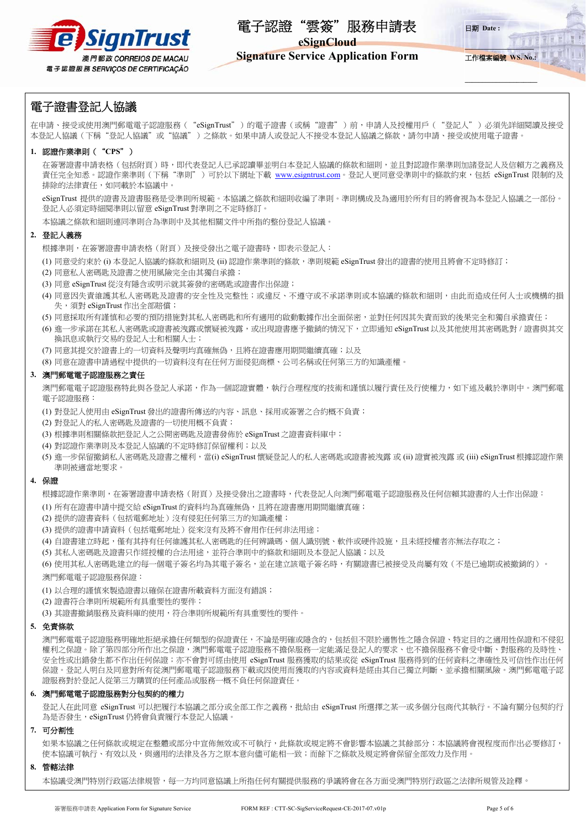

**eSignCloud** 



**\_\_\_\_\_\_\_\_\_\_\_\_\_\_\_\_\_\_\_\_\_**

# **Signature Service Application Form**

# 電子證書登記人協議

在申請、接受或使用澳門郵電電子認證服務( "eSignTrust")的電子證書(或稱"證書")前,申請人及授權用戶( "登記人")必須先詳細閱讀及接受 本登記人協議(下稱"登記人協議"或"協議")之條款。如果申請人或登記人不接受本登記人協議之條款,請勿申請、接受或使用電子證書。

## **1.** 認證作業準則("**CPS**")

在簽署證書申請表格(包括附頁)時,即代表登記人已承認讀畢並明白本登記人協議的條款和細則,並且對認證作業準則加諸登記人及信賴方之義務及 責任完全知悉。認證作業準則(下稱"準則")可於以下網址下載 www.esigntrust.com。登記人更同意受準則中的條款約束,包括 eSignTrust 限制的及 排除的法律責任,如同載於本協議中。

eSignTrust 提供的證書及證書服務是受準則所規範。本協議之條款和細則收編了準則。準則構成及為適用於所有目的將會視為本登記人協議之一部份。 登記人必須定時細閱準則以留意 eSignTrust 對準則之不定時修訂。

本協議之條款和細則連同準則合為準則中及其他相關文件中所指的整份登記人協議。

## **2.** 登記人義務

根據準則,在簽署證書申請表格(附頁)及接受發出之電子證書時,即表示登記人:

(1) 同意受約束於 (i) 本登記人協議的條款和細則及 (ii) 認證作業準則的條款,準則規範 eSignTrust 發出的證書的使用且將會不定時修訂;

- (2) 同意私人密碼匙及證書之使用風險完全由其獨自承擔;
- (3) 同意 eSignTrust 從沒有隱含或明示就其簽發的密碼匙或證書作出保證;
- (4) 同意因失責維護其私人密碼匙及證書的安全性及完整性;或違反、不遵守或不承諾準則或本協議的條款和細則,由此而造成任何人士或機構的損 失,須對 eSignTrust 作出全部賠償;
- (5) 同意採取所有謹慎和必要的預防措施對其私人密碼匙和所有適用的啟動數據作出全面保密,並對任何因其失責而致的後果完全和獨自承擔責任;
- (6) 進一步承諾在其私人密碼匙或證書被洩露或懷疑被洩露,或出現證書應予撤銷的情況下,立即通知 eSignTrust 以及其他使用其密碼匙對 / 證書與其交 換訊息或執行交易的登記人士和相關人士;
- (7) 同意其提交於證書上的一切資料及聲明均真確無偽,且將在證書應用期間繼續真確;以及
- (8) 同意在證書申請過程中提供的一切資料沒有在任何方面侵犯商標、公司名稱或任何第三方的知識產權。

## **3.** 澳門郵電電子認證服務之責任

澳門郵電電子認證服務特此與各登記人承諾,作為一個認證實體,執行合理程度的技術和謹慎以履行責任及行使權力,如下述及載於準則中。澳門郵電 電子認證服務:

(1) 對登記人使用由 eSignTrust 發出的證書所傳送的內容、訊息、採用或簽署之合約概不負責;

- (2) 對登記人的私人密碼匙及證書的一切使用概不負責;
- (3) 根據準則相關條款把登記人之公開密碼匙及證書發佈於 eSignTrust 之證書資料庫中;
- (4) 對認證作業準則及本登記人協議的不定時修訂保留權利;以及
- (5) 進一步保留撤銷私人密碼匙及證書之權利,當(i) eSignTrust 懷疑登記人的私人密碼匙或證書被洩露 或 (ii) 證實被洩露 或 (iii) eSignTrust 根據認證作業 準則被適當地要求。

### **4.** 保證

根據認證作業準則,在簽署證書申請表格(附頁)及接受發出之證書時,代表登記人向澳門郵電電子認證服務及任何信賴其證書的人士作出保證:

(1) 所有在證書申請中提交給 eSignTrust 的資料均為真確無偽,且將在證書應用期間繼續真確;

- (2) 提供的證書資料(包括電郵地址)沒有侵犯任何第三方的知識產權;
- (3) 提供的證書申請資料(包括電郵地址)從來沒有及將不會用作任何非法用途;
- (4) 自證書建立時起,懂有其持有任何維護其私人密碼匙的任何辨識碼、個人識別號、軟件或硬件設施,且未經授權者亦無法存取之;
- (5) 其私人密碼匙及證書只作經授權的合法用途,並符合準則中的條款和細則及本登記人協議;以及

(6) 使用其私人密碼匙建立的每一個電子簽名均為其電子簽名,並在建立該電子簽名時,有關證書已被接受及尚屬有效(不是已逾期或被撤銷的)。 澳門郵電電子認證服務保證:

(1) 以合理的謹慎來製造證書以確保在證書所載資料方面沒有錯誤;

(2) 證書符合準則所規範所有具重要性的要件;

(3) 其證書撤銷服務及資料庫的使用,符合準則所規範所有具重要性的要件。

## **5.** 免責條款

澳門郵電電子認證服務明確地拒絕承擔任何類型的保證責任,不論是明確或隱含的,包括但不限於適售性之隱含保證、特定目的之適用性保證和不侵犯 權利之保證。除了第四部分所作出之保證,澳門郵電電子認證服務不擔保服務一定能滿足登記人的要求、也不擔保服務不會受中斷、對服務的及時性、 安全性或出錯發生都不作出任何保證;亦不會對可經由使用 eSignTrust 服務獲取的結果或從 eSignTrust 服務得到的任何資料之準確性及可信性作出任何 保證。登記人明白及同意對所有從澳門郵電電子認證服務下載或因使用而獲取的內容或資料是經由其自己獨立判斷、並承擔相關風險。澳門郵電電子認 證服務對於登記人從第三方購買的任何產品或服務一概不負任何保證責任。

## **6.** 澳門郵電電子認證服務對分包契約的權力

登記人在此同意 eSignTrust 可以把履行本協議之部分或全部工作之義務,批給由 eSignTrust 所選擇之某一或多個分包商代其執行。不論有關分包契約行 為是否發生, eSignTrust 仍將會負責履行本登記人協議

#### **7.** 可分割性

如果本協議之任何條款或規定在整體或部分中宣佈無效或不可執行,此條款或規定將不會影響本協議之其餘部分;本協議將會視程度而作出必要修訂, 使本協議可執行、有效以及,與適用的法律及各方之原本意向儘可能相一致;而餘下之條款及規定將會保留全部效力及作用。

**8.** 管轄法律

本協議受澳門特別行政區法律規管,每一方均同意協議上所指任何有關提供服務的爭議將會在各方面受澳門特別行政區之法律所規管及詮釋。